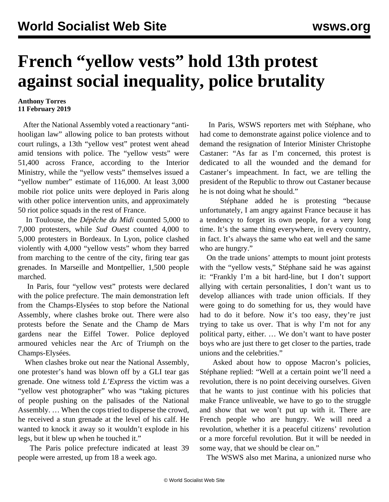## **French "yellow vests" hold 13th protest against social inequality, police brutality**

## **Anthony Torres 11 February 2019**

 After the National Assembly voted a reactionary "antihooligan law" allowing police to ban protests without court rulings, a 13th "yellow vest" protest went ahead amid tensions with police. The "yellow vests" were 51,400 across France, according to the Interior Ministry, while the "yellow vests" themselves issued a "yellow number" estimate of 116,000. At least 3,000 mobile riot police units were deployed in Paris along with other police intervention units, and approximately 50 riot police squads in the rest of France.

 In Toulouse, the *Dépêche du Midi* counted 5,000 to 7,000 protesters, while *Sud Ouest* counted 4,000 to 5,000 protesters in Bordeaux. In Lyon, police clashed violently with 4,000 "yellow vests" whom they barred from marching to the centre of the city, firing tear gas grenades. In Marseille and Montpellier, 1,500 people marched.

 In Paris, four "yellow vest" protests were declared with the police prefecture. The main demonstration left from the Champs-Elysées to stop before the National Assembly, where clashes broke out. There were also protests before the Senate and the Champ de Mars gardens near the Eiffel Tower. Police deployed armoured vehicles near the Arc of Triumph on the Champs-Elysées.

 When clashes broke out near the National Assembly, one protester's hand was blown off by a GLI tear gas grenade. One witness told *L'Express* the victim was a "yellow vest photographer" who was "taking pictures of people pushing on the palisades of the National Assembly. … When the cops tried to disperse the crowd, he received a stun grenade at the level of his calf. He wanted to knock it away so it wouldn't explode in his legs, but it blew up when he touched it."

 The Paris police prefecture indicated at least 39 people were arrested, up from 18 a week ago.

 In Paris, WSWS reporters met with Stéphane, who had come to demonstrate against police violence and to demand the resignation of Interior Minister Christophe Castaner: "As far as I'm concerned, this protest is dedicated to all the wounded and the demand for Castaner's impeachment. In fact, we are telling the president of the Republic to throw out Castaner because he is not doing what he should."

 Stéphane added he is protesting "because unfortunately, I am angry against France because it has a tendency to forget its own people, for a very long time. It's the same thing everywhere, in every country, in fact. It's always the same who eat well and the same who are hungry."

 On the trade unions' attempts to mount joint protests with the "yellow vests," Stéphane said he was against it: "Frankly I'm a bit hard-line, but I don't support allying with certain personalities, I don't want us to develop alliances with trade union officials. If they were going to do something for us, they would have had to do it before. Now it's too easy, they're just trying to take us over. That is why I'm not for any political party, either. … We don't want to have poster boys who are just there to get closer to the parties, trade unions and the celebrities."

 Asked about how to oppose Macron's policies, Stéphane replied: "Well at a certain point we'll need a revolution, there is no point deceiving ourselves. Given that he wants to just continue with his policies that make France unliveable, we have to go to the struggle and show that we won't put up with it. There are French people who are hungry. We will need a revolution, whether it is a peaceful citizens' revolution or a more forceful revolution. But it will be needed in some way, that we should be clear on."

The WSWS also met Marina, a unionized nurse who